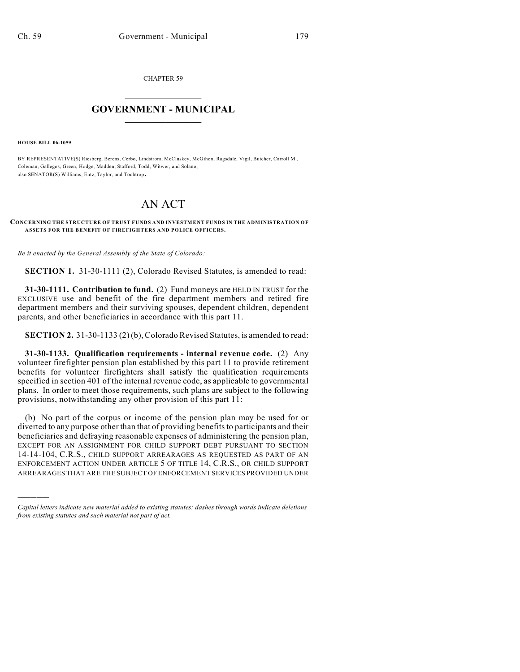CHAPTER 59

# $\mathcal{L}_\text{max}$  . The set of the set of the set of the set of the set of the set of the set of the set of the set of the set of the set of the set of the set of the set of the set of the set of the set of the set of the set **GOVERNMENT - MUNICIPAL**  $\_$

**HOUSE BILL 06-1059**

)))))

BY REPRESENTATIVE(S) Riesberg, Berens, Cerbo, Lindstrom, McCluskey, McGihon, Ragsdale, Vigil, Butcher, Carroll M., Coleman, Gallegos, Green, Hodge, Madden, Stafford, Todd, Witwer, and Solano; also SENATOR(S) Williams, Entz, Taylor, and Tochtrop.

# AN ACT

### **CONCERNING THE STRUCTURE OF TRUST FUNDS AND INVESTMENT FUNDS IN THE ADMINISTRATION OF ASSETS FOR THE BENEFIT OF FIREFIGHTERS AND POLICE OFFICERS.**

*Be it enacted by the General Assembly of the State of Colorado:*

**SECTION 1.** 31-30-1111 (2), Colorado Revised Statutes, is amended to read:

**31-30-1111. Contribution to fund.** (2) Fund moneys are HELD IN TRUST for the EXCLUSIVE use and benefit of the fire department members and retired fire department members and their surviving spouses, dependent children, dependent parents, and other beneficiaries in accordance with this part 11.

**SECTION 2.** 31-30-1133 (2) (b), Colorado Revised Statutes, is amended to read:

**31-30-1133. Qualification requirements - internal revenue code.** (2) Any volunteer firefighter pension plan established by this part 11 to provide retirement benefits for volunteer firefighters shall satisfy the qualification requirements specified in section 401 of the internal revenue code, as applicable to governmental plans. In order to meet those requirements, such plans are subject to the following provisions, notwithstanding any other provision of this part 11:

(b) No part of the corpus or income of the pension plan may be used for or diverted to any purpose other than that of providing benefits to participants and their beneficiaries and defraying reasonable expenses of administering the pension plan, EXCEPT FOR AN ASSIGNMENT FOR CHILD SUPPORT DEBT PURSUANT TO SECTION 14-14-104, C.R.S., CHILD SUPPORT ARREARAGES AS REQUESTED AS PART OF AN ENFORCEMENT ACTION UNDER ARTICLE 5 OF TITLE 14, C.R.S., OR CHILD SUPPORT ARREARAGES THAT ARE THE SUBJECT OF ENFORCEMENT SERVICES PROVIDED UNDER

*Capital letters indicate new material added to existing statutes; dashes through words indicate deletions from existing statutes and such material not part of act.*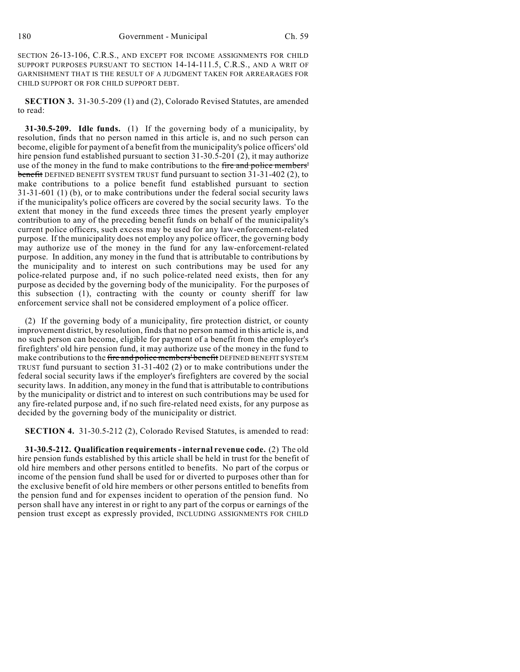SECTION 26-13-106, C.R.S., AND EXCEPT FOR INCOME ASSIGNMENTS FOR CHILD SUPPORT PURPOSES PURSUANT TO SECTION 14-14-111.5, C.R.S., AND A WRIT OF GARNISHMENT THAT IS THE RESULT OF A JUDGMENT TAKEN FOR ARREARAGES FOR CHILD SUPPORT OR FOR CHILD SUPPORT DEBT.

**SECTION 3.** 31-30.5-209 (1) and (2), Colorado Revised Statutes, are amended to read:

**31-30.5-209. Idle funds.** (1) If the governing body of a municipality, by resolution, finds that no person named in this article is, and no such person can become, eligible for payment of a benefit from the municipality's police officers' old hire pension fund established pursuant to section 31-30.5-201 (2), it may authorize use of the money in the fund to make contributions to the fire and police members' benefit DEFINED BENEFIT SYSTEM TRUST fund pursuant to section 31-31-402 (2), to make contributions to a police benefit fund established pursuant to section 31-31-601 (1) (b), or to make contributions under the federal social security laws if the municipality's police officers are covered by the social security laws. To the extent that money in the fund exceeds three times the present yearly employer contribution to any of the preceding benefit funds on behalf of the municipality's current police officers, such excess may be used for any law-enforcement-related purpose. If the municipality does not employ any police officer, the governing body may authorize use of the money in the fund for any law-enforcement-related purpose. In addition, any money in the fund that is attributable to contributions by the municipality and to interest on such contributions may be used for any police-related purpose and, if no such police-related need exists, then for any purpose as decided by the governing body of the municipality. For the purposes of this subsection (1), contracting with the county or county sheriff for law enforcement service shall not be considered employment of a police officer.

(2) If the governing body of a municipality, fire protection district, or county improvement district, by resolution, finds that no person named in this article is, and no such person can become, eligible for payment of a benefit from the employer's firefighters' old hire pension fund, it may authorize use of the money in the fund to make contributions to the fire and police members' benefit DEFINED BENEFIT SYSTEM TRUST fund pursuant to section 31-31-402 (2) or to make contributions under the federal social security laws if the employer's firefighters are covered by the social security laws. In addition, any money in the fund that is attributable to contributions by the municipality or district and to interest on such contributions may be used for any fire-related purpose and, if no such fire-related need exists, for any purpose as decided by the governing body of the municipality or district.

**SECTION 4.** 31-30.5-212 (2), Colorado Revised Statutes, is amended to read:

**31-30.5-212. Qualification requirements - internal revenue code.** (2) The old hire pension funds established by this article shall be held in trust for the benefit of old hire members and other persons entitled to benefits. No part of the corpus or income of the pension fund shall be used for or diverted to purposes other than for the exclusive benefit of old hire members or other persons entitled to benefits from the pension fund and for expenses incident to operation of the pension fund. No person shall have any interest in or right to any part of the corpus or earnings of the pension trust except as expressly provided, INCLUDING ASSIGNMENTS FOR CHILD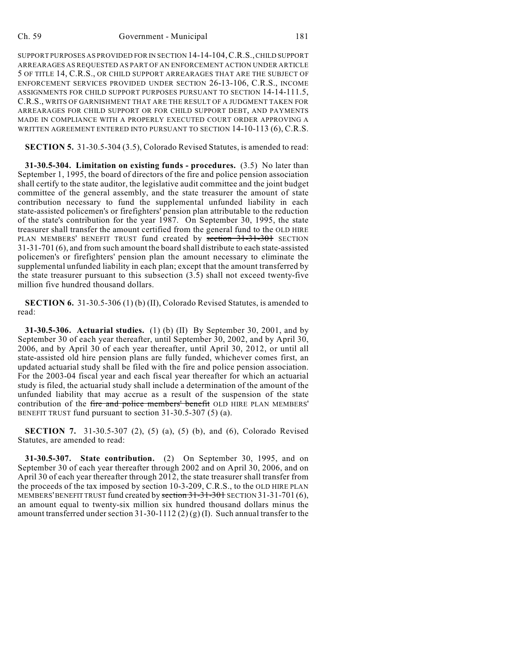SUPPORT PURPOSES AS PROVIDED FOR IN SECTION 14-14-104,C.R.S., CHILD SUPPORT ARREARAGES AS REQUESTED AS PART OF AN ENFORCEMENT ACTION UNDER ARTICLE 5 OF TITLE 14, C.R.S., OR CHILD SUPPORT ARREARAGES THAT ARE THE SUBJECT OF ENFORCEMENT SERVICES PROVIDED UNDER SECTION 26-13-106, C.R.S., INCOME ASSIGNMENTS FOR CHILD SUPPORT PURPOSES PURSUANT TO SECTION 14-14-111.5, C.R.S., WRITS OF GARNISHMENT THAT ARE THE RESULT OF A JUDGMENT TAKEN FOR ARREARAGES FOR CHILD SUPPORT OR FOR CHILD SUPPORT DEBT, AND PAYMENTS MADE IN COMPLIANCE WITH A PROPERLY EXECUTED COURT ORDER APPROVING A WRITTEN AGREEMENT ENTERED INTO PURSUANT TO SECTION 14-10-113 (6), C.R.S.

**SECTION 5.** 31-30.5-304 (3.5), Colorado Revised Statutes, is amended to read:

**31-30.5-304. Limitation on existing funds - procedures.** (3.5) No later than September 1, 1995, the board of directors of the fire and police pension association shall certify to the state auditor, the legislative audit committee and the joint budget committee of the general assembly, and the state treasurer the amount of state contribution necessary to fund the supplemental unfunded liability in each state-assisted policemen's or firefighters' pension plan attributable to the reduction of the state's contribution for the year 1987. On September 30, 1995, the state treasurer shall transfer the amount certified from the general fund to the OLD HIRE PLAN MEMBERS' BENEFIT TRUST fund created by section 31-31-301 SECTION 31-31-701 (6), and from such amount the board shall distribute to each state-assisted policemen's or firefighters' pension plan the amount necessary to eliminate the supplemental unfunded liability in each plan; except that the amount transferred by the state treasurer pursuant to this subsection (3.5) shall not exceed twenty-five million five hundred thousand dollars.

**SECTION 6.** 31-30.5-306 (1) (b) (II), Colorado Revised Statutes, is amended to read:

**31-30.5-306. Actuarial studies.** (1) (b) (II) By September 30, 2001, and by September 30 of each year thereafter, until September 30, 2002, and by April 30, 2006, and by April 30 of each year thereafter, until April 30, 2012, or until all state-assisted old hire pension plans are fully funded, whichever comes first, an updated actuarial study shall be filed with the fire and police pension association. For the 2003-04 fiscal year and each fiscal year thereafter for which an actuarial study is filed, the actuarial study shall include a determination of the amount of the unfunded liability that may accrue as a result of the suspension of the state contribution of the fire and police members' benefit OLD HIRE PLAN MEMBERS' BENEFIT TRUST fund pursuant to section 31-30.5-307 (5) (a).

**SECTION 7.** 31-30.5-307 (2), (5) (a), (5) (b), and (6), Colorado Revised Statutes, are amended to read:

**31-30.5-307. State contribution.** (2) On September 30, 1995, and on September 30 of each year thereafter through 2002 and on April 30, 2006, and on April 30 of each year thereafter through 2012, the state treasurer shall transfer from the proceeds of the tax imposed by section 10-3-209, C.R.S., to the OLD HIRE PLAN MEMBERS' BENEFIT TRUST fund created by section 31-31-301 SECTION 31-31-701 (6), an amount equal to twenty-six million six hundred thousand dollars minus the amount transferred under section 31-30-1112 (2) (g) (I). Such annual transfer to the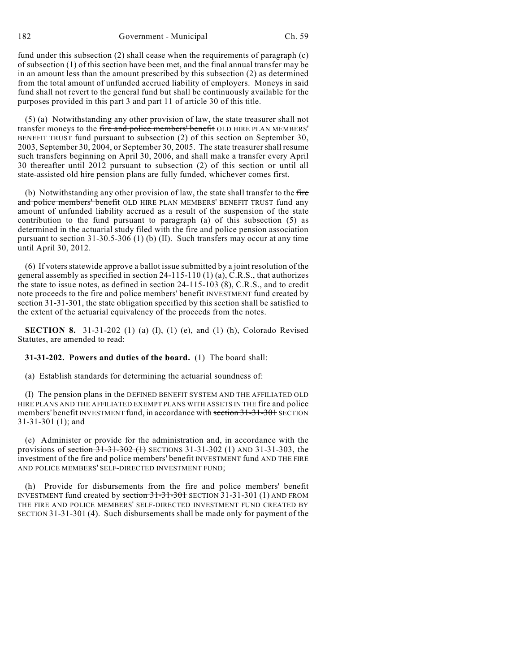182 Government - Municipal Ch. 59

fund under this subsection (2) shall cease when the requirements of paragraph (c) of subsection (1) of this section have been met, and the final annual transfer may be in an amount less than the amount prescribed by this subsection (2) as determined from the total amount of unfunded accrued liability of employers. Moneys in said fund shall not revert to the general fund but shall be continuously available for the purposes provided in this part 3 and part 11 of article 30 of this title.

(5) (a) Notwithstanding any other provision of law, the state treasurer shall not transfer moneys to the fire and police members' benefit OLD HIRE PLAN MEMBERS' BENEFIT TRUST fund pursuant to subsection (2) of this section on September 30, 2003, September 30, 2004, or September 30, 2005. The state treasurer shall resume such transfers beginning on April 30, 2006, and shall make a transfer every April 30 thereafter until 2012 pursuant to subsection (2) of this section or until all state-assisted old hire pension plans are fully funded, whichever comes first.

(b) Notwithstanding any other provision of law, the state shall transfer to the fire and police members' benefit OLD HIRE PLAN MEMBERS' BENEFIT TRUST fund any amount of unfunded liability accrued as a result of the suspension of the state contribution to the fund pursuant to paragraph (a) of this subsection (5) as determined in the actuarial study filed with the fire and police pension association pursuant to section 31-30.5-306 (1) (b) (II). Such transfers may occur at any time until April 30, 2012.

(6) If voters statewide approve a ballot issue submitted by a joint resolution of the general assembly as specified in section 24-115-110 (1) (a), C.R.S., that authorizes the state to issue notes, as defined in section 24-115-103 (8), C.R.S., and to credit note proceeds to the fire and police members' benefit INVESTMENT fund created by section 31-31-301, the state obligation specified by this section shall be satisfied to the extent of the actuarial equivalency of the proceeds from the notes.

**SECTION 8.** 31-31-202 (1) (a) (I), (1) (e), and (1) (h), Colorado Revised Statutes, are amended to read:

**31-31-202. Powers and duties of the board.** (1) The board shall:

(a) Establish standards for determining the actuarial soundness of:

(I) The pension plans in the DEFINED BENEFIT SYSTEM AND THE AFFILIATED OLD HIRE PLANS AND THE AFFILIATED EXEMPT PLANS WITH ASSETS IN THE fire and police members' benefit INVESTMENT fund, in accordance with section 31-31-301 SECTION 31-31-301 (1); and

(e) Administer or provide for the administration and, in accordance with the provisions of section  $31-31-302$  (1) SECTIONS 31-31-302 (1) AND 31-31-303, the investment of the fire and police members' benefit INVESTMENT fund AND THE FIRE AND POLICE MEMBERS' SELF-DIRECTED INVESTMENT FUND;

(h) Provide for disbursements from the fire and police members' benefit INVESTMENT fund created by section 31-31-301 SECTION 31-31-301 (1) AND FROM THE FIRE AND POLICE MEMBERS' SELF-DIRECTED INVESTMENT FUND CREATED BY SECTION 31-31-301 (4). Such disbursements shall be made only for payment of the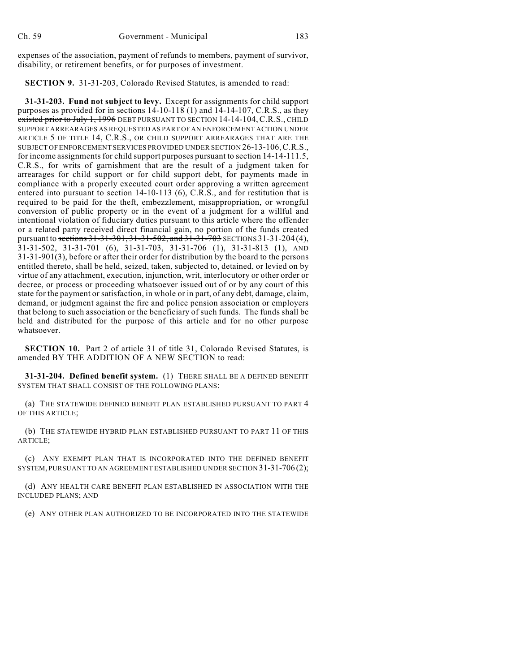expenses of the association, payment of refunds to members, payment of survivor, disability, or retirement benefits, or for purposes of investment.

**SECTION 9.** 31-31-203, Colorado Revised Statutes, is amended to read:

**31-31-203. Fund not subject to levy.** Except for assignments for child support purposes as provided for in sections 14-10-118 (1) and 14-14-107, C.R.S., as they existed prior to July 1, 1996 DEBT PURSUANT TO SECTION 14-14-104, C.R.S., CHILD SUPPORT ARREARAGES AS REQUESTED AS PART OF AN ENFORCEMENT ACTION UNDER ARTICLE 5 OF TITLE 14, C.R.S., OR CHILD SUPPORT ARREARAGES THAT ARE THE SUBJECT OF ENFORCEMENT SERVICES PROVIDED UNDER SECTION 26-13-106,C.R.S., for income assignments for child support purposes pursuant to section 14-14-111.5, C.R.S., for writs of garnishment that are the result of a judgment taken for arrearages for child support or for child support debt, for payments made in compliance with a properly executed court order approving a written agreement entered into pursuant to section 14-10-113 (6), C.R.S., and for restitution that is required to be paid for the theft, embezzlement, misappropriation, or wrongful conversion of public property or in the event of a judgment for a willful and intentional violation of fiduciary duties pursuant to this article where the offender or a related party received direct financial gain, no portion of the funds created pursuant to sections 31-31-301, 31-31-502, and 31-31-703 SECTIONS 31-31-204 (4), 31-31-502, 31-31-701 (6), 31-31-703, 31-31-706 (1), 31-31-813 (1), AND 31-31-901(3), before or after their order for distribution by the board to the persons entitled thereto, shall be held, seized, taken, subjected to, detained, or levied on by virtue of any attachment, execution, injunction, writ, interlocutory or other order or decree, or process or proceeding whatsoever issued out of or by any court of this state for the payment or satisfaction, in whole or in part, of any debt, damage, claim, demand, or judgment against the fire and police pension association or employers that belong to such association or the beneficiary of such funds. The funds shall be held and distributed for the purpose of this article and for no other purpose whatsoever.

**SECTION 10.** Part 2 of article 31 of title 31, Colorado Revised Statutes, is amended BY THE ADDITION OF A NEW SECTION to read:

**31-31-204. Defined benefit system.** (1) THERE SHALL BE A DEFINED BENEFIT SYSTEM THAT SHALL CONSIST OF THE FOLLOWING PLANS:

(a) THE STATEWIDE DEFINED BENEFIT PLAN ESTABLISHED PURSUANT TO PART 4 OF THIS ARTICLE;

(b) THE STATEWIDE HYBRID PLAN ESTABLISHED PURSUANT TO PART 11 OF THIS ARTICLE;

(c) ANY EXEMPT PLAN THAT IS INCORPORATED INTO THE DEFINED BENEFIT SYSTEM, PURSUANT TO AN AGREEMENT ESTABLISHED UNDER SECTION 31-31-706 (2);

(d) ANY HEALTH CARE BENEFIT PLAN ESTABLISHED IN ASSOCIATION WITH THE INCLUDED PLANS; AND

(e) ANY OTHER PLAN AUTHORIZED TO BE INCORPORATED INTO THE STATEWIDE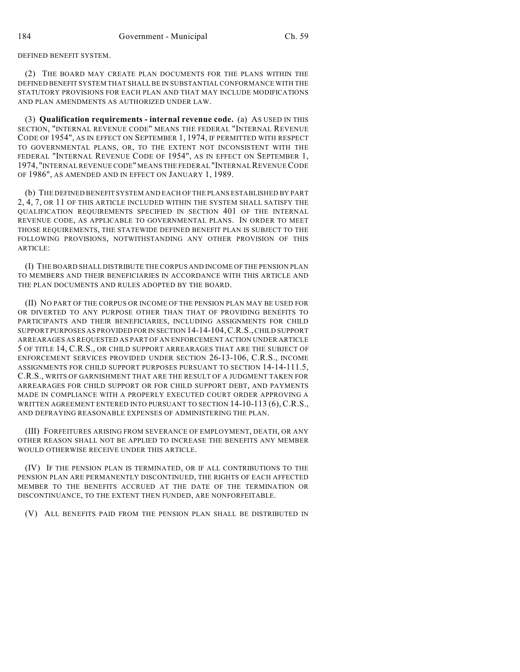DEFINED BENEFIT SYSTEM.

(2) THE BOARD MAY CREATE PLAN DOCUMENTS FOR THE PLANS WITHIN THE DEFINED BENEFIT SYSTEM THAT SHALL BE IN SUBSTANTIAL CONFORMANCE WITH THE STATUTORY PROVISIONS FOR EACH PLAN AND THAT MAY INCLUDE MODIFICATIONS AND PLAN AMENDMENTS AS AUTHORIZED UNDER LAW.

(3) **Qualification requirements - internal revenue code.** (a) AS USED IN THIS SECTION, "INTERNAL REVENUE CODE" MEANS THE FEDERAL "INTERNAL REVENUE CODE OF 1954", AS IN EFFECT ON SEPTEMBER 1, 1974, IF PERMITTED WITH RESPECT TO GOVERNMENTAL PLANS, OR, TO THE EXTENT NOT INCONSISTENT WITH THE FEDERAL "INTERNAL REVENUE CODE OF 1954", AS IN EFFECT ON SEPTEMBER 1, 1974, "INTERNAL REVENUE CODE" MEANS THE FEDERAL "INTERNAL REVENUE CODE OF 1986", AS AMENDED AND IN EFFECT ON JANUARY 1, 1989.

(b) THE DEFINED BENEFIT SYSTEM AND EACH OF THE PLANS ESTABLISHED BY PART 2, 4, 7, OR 11 OF THIS ARTICLE INCLUDED WITHIN THE SYSTEM SHALL SATISFY THE QUALIFICATION REQUIREMENTS SPECIFIED IN SECTION 401 OF THE INTERNAL REVENUE CODE, AS APPLICABLE TO GOVERNMENTAL PLANS. IN ORDER TO MEET THOSE REQUIREMENTS, THE STATEWIDE DEFINED BENEFIT PLAN IS SUBJECT TO THE FOLLOWING PROVISIONS, NOTWITHSTANDING ANY OTHER PROVISION OF THIS ARTICLE:

(I) THE BOARD SHALL DISTRIBUTE THE CORPUS AND INCOME OF THE PENSION PLAN TO MEMBERS AND THEIR BENEFICIARIES IN ACCORDANCE WITH THIS ARTICLE AND THE PLAN DOCUMENTS AND RULES ADOPTED BY THE BOARD.

(II) NO PART OF THE CORPUS OR INCOME OF THE PENSION PLAN MAY BE USED FOR OR DIVERTED TO ANY PURPOSE OTHER THAN THAT OF PROVIDING BENEFITS TO PARTICIPANTS AND THEIR BENEFICIARIES, INCLUDING ASSIGNMENTS FOR CHILD SUPPORT PURPOSES AS PROVIDED FOR IN SECTION 14-14-104,C.R.S., CHILD SUPPORT ARREARAGES AS REQUESTED AS PART OF AN ENFORCEMENT ACTION UNDER ARTICLE 5 OF TITLE 14, C.R.S., OR CHILD SUPPORT ARREARAGES THAT ARE THE SUBJECT OF ENFORCEMENT SERVICES PROVIDED UNDER SECTION 26-13-106, C.R.S., INCOME ASSIGNMENTS FOR CHILD SUPPORT PURPOSES PURSUANT TO SECTION 14-14-111.5, C.R.S., WRITS OF GARNISHMENT THAT ARE THE RESULT OF A JUDGMENT TAKEN FOR ARREARAGES FOR CHILD SUPPORT OR FOR CHILD SUPPORT DEBT, AND PAYMENTS MADE IN COMPLIANCE WITH A PROPERLY EXECUTED COURT ORDER APPROVING A WRITTEN AGREEMENT ENTERED INTO PURSUANT TO SECTION 14-10-113 (6), C.R.S., AND DEFRAYING REASONABLE EXPENSES OF ADMINISTERING THE PLAN.

(III) FORFEITURES ARISING FROM SEVERANCE OF EMPLOYMENT, DEATH, OR ANY OTHER REASON SHALL NOT BE APPLIED TO INCREASE THE BENEFITS ANY MEMBER WOULD OTHERWISE RECEIVE UNDER THIS ARTICLE.

(IV) IF THE PENSION PLAN IS TERMINATED, OR IF ALL CONTRIBUTIONS TO THE PENSION PLAN ARE PERMANENTLY DISCONTINUED, THE RIGHTS OF EACH AFFECTED MEMBER TO THE BENEFITS ACCRUED AT THE DATE OF THE TERMINATION OR DISCONTINUANCE, TO THE EXTENT THEN FUNDED, ARE NONFORFEITABLE.

(V) ALL BENEFITS PAID FROM THE PENSION PLAN SHALL BE DISTRIBUTED IN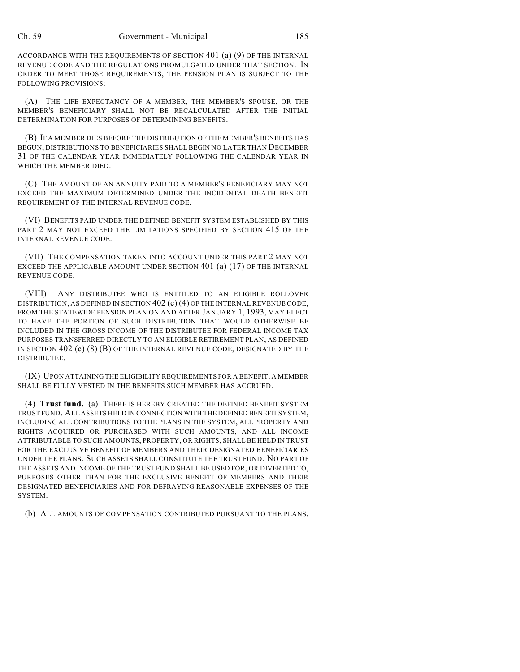ACCORDANCE WITH THE REQUIREMENTS OF SECTION 401 (a) (9) OF THE INTERNAL REVENUE CODE AND THE REGULATIONS PROMULGATED UNDER THAT SECTION. IN ORDER TO MEET THOSE REQUIREMENTS, THE PENSION PLAN IS SUBJECT TO THE FOLLOWING PROVISIONS:

(A) THE LIFE EXPECTANCY OF A MEMBER, THE MEMBER'S SPOUSE, OR THE MEMBER'S BENEFICIARY SHALL NOT BE RECALCULATED AFTER THE INITIAL DETERMINATION FOR PURPOSES OF DETERMINING BENEFITS.

(B) IF A MEMBER DIES BEFORE THE DISTRIBUTION OF THE MEMBER'S BENEFITS HAS BEGUN, DISTRIBUTIONS TO BENEFICIARIES SHALL BEGIN NO LATER THAN DECEMBER 31 OF THE CALENDAR YEAR IMMEDIATELY FOLLOWING THE CALENDAR YEAR IN WHICH THE MEMBER DIED.

(C) THE AMOUNT OF AN ANNUITY PAID TO A MEMBER'S BENEFICIARY MAY NOT EXCEED THE MAXIMUM DETERMINED UNDER THE INCIDENTAL DEATH BENEFIT REQUIREMENT OF THE INTERNAL REVENUE CODE.

(VI) BENEFITS PAID UNDER THE DEFINED BENEFIT SYSTEM ESTABLISHED BY THIS PART 2 MAY NOT EXCEED THE LIMITATIONS SPECIFIED BY SECTION 415 OF THE INTERNAL REVENUE CODE.

(VII) THE COMPENSATION TAKEN INTO ACCOUNT UNDER THIS PART 2 MAY NOT EXCEED THE APPLICABLE AMOUNT UNDER SECTION  $401$  (a)  $(17)$  OF THE INTERNAL REVENUE CODE.

(VIII) ANY DISTRIBUTEE WHO IS ENTITLED TO AN ELIGIBLE ROLLOVER DISTRIBUTION, AS DEFINED IN SECTION 402 (c) (4) OF THE INTERNAL REVENUE CODE, FROM THE STATEWIDE PENSION PLAN ON AND AFTER JANUARY 1, 1993, MAY ELECT TO HAVE THE PORTION OF SUCH DISTRIBUTION THAT WOULD OTHERWISE BE INCLUDED IN THE GROSS INCOME OF THE DISTRIBUTEE FOR FEDERAL INCOME TAX PURPOSES TRANSFERRED DIRECTLY TO AN ELIGIBLE RETIREMENT PLAN, AS DEFINED IN SECTION 402 (c) (8) (B) OF THE INTERNAL REVENUE CODE, DESIGNATED BY THE DISTRIBUTEE.

(IX) UPON ATTAINING THE ELIGIBILITY REQUIREMENTS FOR A BENEFIT, A MEMBER SHALL BE FULLY VESTED IN THE BENEFITS SUCH MEMBER HAS ACCRUED.

(4) **Trust fund.** (a) THERE IS HEREBY CREATED THE DEFINED BENEFIT SYSTEM TRUST FUND. ALL ASSETS HELD IN CONNECTION WITH THE DEFINED BENEFIT SYSTEM, INCLUDING ALL CONTRIBUTIONS TO THE PLANS IN THE SYSTEM, ALL PROPERTY AND RIGHTS ACQUIRED OR PURCHASED WITH SUCH AMOUNTS, AND ALL INCOME ATTRIBUTABLE TO SUCH AMOUNTS, PROPERTY, OR RIGHTS, SHALL BE HELD IN TRUST FOR THE EXCLUSIVE BENEFIT OF MEMBERS AND THEIR DESIGNATED BENEFICIARIES UNDER THE PLANS. SUCH ASSETS SHALL CONSTITUTE THE TRUST FUND. NO PART OF THE ASSETS AND INCOME OF THE TRUST FUND SHALL BE USED FOR, OR DIVERTED TO, PURPOSES OTHER THAN FOR THE EXCLUSIVE BENEFIT OF MEMBERS AND THEIR DESIGNATED BENEFICIARIES AND FOR DEFRAYING REASONABLE EXPENSES OF THE SYSTEM.

(b) ALL AMOUNTS OF COMPENSATION CONTRIBUTED PURSUANT TO THE PLANS,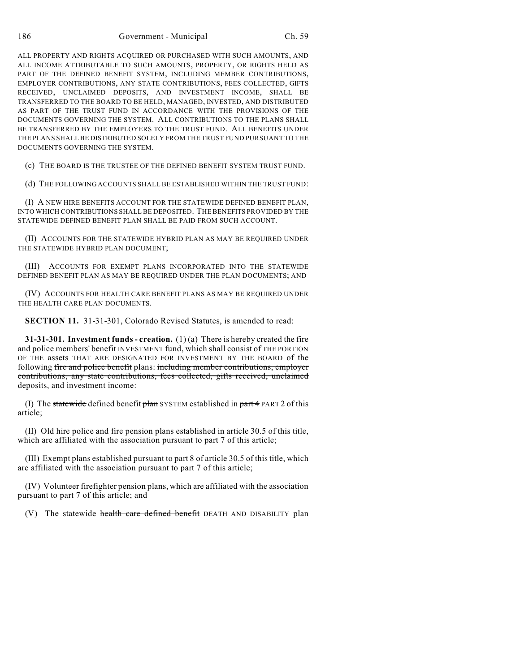186 Government - Municipal Ch. 59

ALL PROPERTY AND RIGHTS ACQUIRED OR PURCHASED WITH SUCH AMOUNTS, AND ALL INCOME ATTRIBUTABLE TO SUCH AMOUNTS, PROPERTY, OR RIGHTS HELD AS PART OF THE DEFINED BENEFIT SYSTEM, INCLUDING MEMBER CONTRIBUTIONS, EMPLOYER CONTRIBUTIONS, ANY STATE CONTRIBUTIONS, FEES COLLECTED, GIFTS RECEIVED, UNCLAIMED DEPOSITS, AND INVESTMENT INCOME, SHALL BE TRANSFERRED TO THE BOARD TO BE HELD, MANAGED, INVESTED, AND DISTRIBUTED AS PART OF THE TRUST FUND IN ACCORDANCE WITH THE PROVISIONS OF THE DOCUMENTS GOVERNING THE SYSTEM. ALL CONTRIBUTIONS TO THE PLANS SHALL BE TRANSFERRED BY THE EMPLOYERS TO THE TRUST FUND. ALL BENEFITS UNDER THE PLANS SHALL BE DISTRIBUTED SOLELY FROM THE TRUST FUND PURSUANT TO THE DOCUMENTS GOVERNING THE SYSTEM.

(c) THE BOARD IS THE TRUSTEE OF THE DEFINED BENEFIT SYSTEM TRUST FUND.

(d) THE FOLLOWING ACCOUNTS SHALL BE ESTABLISHED WITHIN THE TRUST FUND:

(I) A NEW HIRE BENEFITS ACCOUNT FOR THE STATEWIDE DEFINED BENEFIT PLAN, INTO WHICH CONTRIBUTIONS SHALL BE DEPOSITED. THE BENEFITS PROVIDED BY THE STATEWIDE DEFINED BENEFIT PLAN SHALL BE PAID FROM SUCH ACCOUNT.

(II) ACCOUNTS FOR THE STATEWIDE HYBRID PLAN AS MAY BE REQUIRED UNDER THE STATEWIDE HYBRID PLAN DOCUMENT;

(III) ACCOUNTS FOR EXEMPT PLANS INCORPORATED INTO THE STATEWIDE DEFINED BENEFIT PLAN AS MAY BE REQUIRED UNDER THE PLAN DOCUMENTS; AND

(IV) ACCOUNTS FOR HEALTH CARE BENEFIT PLANS AS MAY BE REQUIRED UNDER THE HEALTH CARE PLAN DOCUMENTS.

**SECTION 11.** 31-31-301, Colorado Revised Statutes, is amended to read:

**31-31-301. Investment funds - creation.** (1) (a) There is hereby created the fire and police members' benefit INVESTMENT fund, which shall consist of THE PORTION OF THE assets THAT ARE DESIGNATED FOR INVESTMENT BY THE BOARD of the following fire and police benefit plans: including member contributions, employer contributions, any state contributions, fees collected, gifts received, unclaimed deposits, and investment income:

(I) The statewide defined benefit  $\frac{1}{n}$  SYSTEM established in  $\frac{1}{n}$  PART 2 of this article;

(II) Old hire police and fire pension plans established in article 30.5 of this title, which are affiliated with the association pursuant to part 7 of this article;

(III) Exempt plans established pursuant to part 8 of article 30.5 of this title, which are affiliated with the association pursuant to part 7 of this article;

(IV) Volunteer firefighter pension plans, which are affiliated with the association pursuant to part 7 of this article; and

(V) The statewide health care defined benefit DEATH AND DISABILITY plan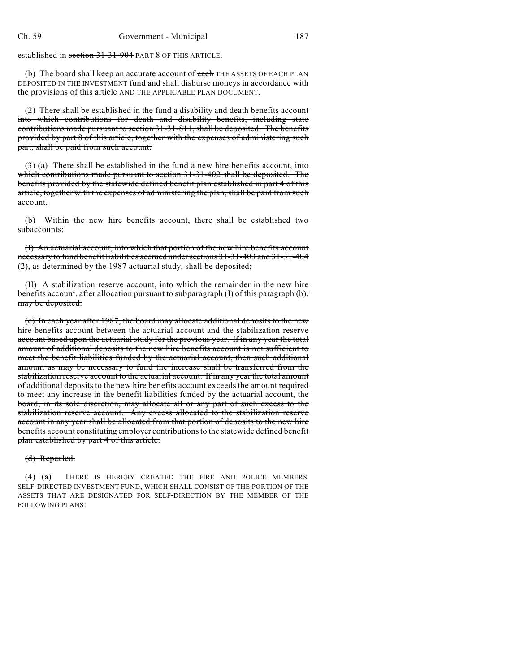established in section 31-31-904 PART 8 OF THIS ARTICLE.

(b) The board shall keep an accurate account of each THE ASSETS OF EACH PLAN DEPOSITED IN THE INVESTMENT fund and shall disburse moneys in accordance with the provisions of this article AND THE APPLICABLE PLAN DOCUMENT.

(2) There shall be established in the fund a disability and death benefits account into which contributions for death and disability benefits, including state contributions made pursuant to section 31-31-811, shall be deposited. The benefits provided by part 8 of this article, together with the expenses of administering such part, shall be paid from such account.

(3) (a) There shall be established in the fund a new hire benefits account, into which contributions made pursuant to section 31-31-402 shall be deposited. The benefits provided by the statewide defined benefit plan established in part 4 of this article, together with the expenses of administering the plan, shall be paid from such account.

(b) Within the new hire benefits account, there shall be established two subaccounts:

(I) An actuarial account, into which that portion of the new hire benefits account necessary to fund benefit liabilities accrued under sections 31-31-403 and 31-31-404 (2), as determined by the 1987 actuarial study, shall be deposited;

(II) A stabilization reserve account, into which the remainder in the new hire benefits account, after allocation pursuant to subparagraph (I) of this paragraph (b), may be deposited.

(c) In each year after 1987, the board may allocate additional deposits to the new hire benefits account between the actuarial account and the stabilization reserve account based upon the actuarial study for the previous year. If in any year the total amount of additional deposits to the new hire benefits account is not sufficient to meet the benefit liabilities funded by the actuarial account, then such additional amount as may be necessary to fund the increase shall be transferred from the stabilization reserve account to the actuarial account. If in any year the total amount of additional deposits to the new hire benefits account exceeds the amount required to meet any increase in the benefit liabilities funded by the actuarial account, the board, in its sole discretion, may allocate all or any part of such excess to the stabilization reserve account. Any excess allocated to the stabilization reserve account in any year shall be allocated from that portion of deposits to the new hire benefits account constituting employer contributions to the statewide defined benefit plan established by part 4 of this article.

### (d) Repealed.

(4) (a) THERE IS HEREBY CREATED THE FIRE AND POLICE MEMBERS' SELF-DIRECTED INVESTMENT FUND, WHICH SHALL CONSIST OF THE PORTION OF THE ASSETS THAT ARE DESIGNATED FOR SELF-DIRECTION BY THE MEMBER OF THE FOLLOWING PLANS: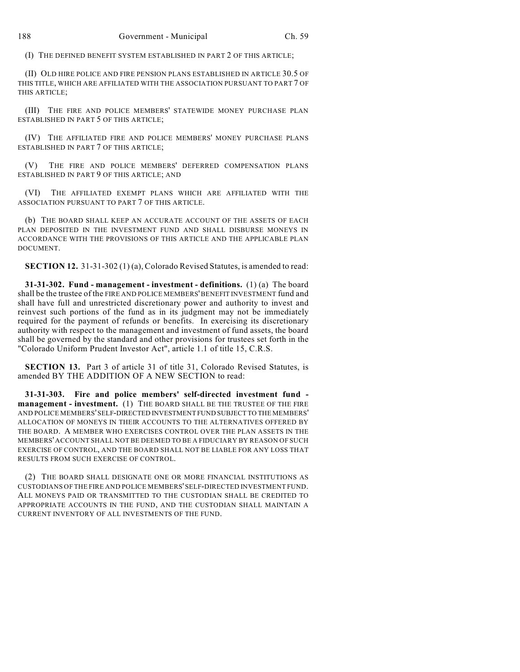(I) THE DEFINED BENEFIT SYSTEM ESTABLISHED IN PART 2 OF THIS ARTICLE;

(II) OLD HIRE POLICE AND FIRE PENSION PLANS ESTABLISHED IN ARTICLE 30.5 OF THIS TITLE, WHICH ARE AFFILIATED WITH THE ASSOCIATION PURSUANT TO PART 7 OF THIS ARTICLE;

(III) THE FIRE AND POLICE MEMBERS' STATEWIDE MONEY PURCHASE PLAN ESTABLISHED IN PART 5 OF THIS ARTICLE;

(IV) THE AFFILIATED FIRE AND POLICE MEMBERS' MONEY PURCHASE PLANS ESTABLISHED IN PART 7 OF THIS ARTICLE;

(V) THE FIRE AND POLICE MEMBERS' DEFERRED COMPENSATION PLANS ESTABLISHED IN PART 9 OF THIS ARTICLE; AND

(VI) THE AFFILIATED EXEMPT PLANS WHICH ARE AFFILIATED WITH THE ASSOCIATION PURSUANT TO PART 7 OF THIS ARTICLE.

(b) THE BOARD SHALL KEEP AN ACCURATE ACCOUNT OF THE ASSETS OF EACH PLAN DEPOSITED IN THE INVESTMENT FUND AND SHALL DISBURSE MONEYS IN ACCORDANCE WITH THE PROVISIONS OF THIS ARTICLE AND THE APPLICABLE PLAN DOCUMENT.

**SECTION 12.** 31-31-302 (1) (a), Colorado Revised Statutes, is amended to read:

**31-31-302. Fund - management - investment - definitions.** (1) (a) The board shall be the trustee of the FIRE AND POLICE MEMBERS' BENEFIT INVESTMENT fund and shall have full and unrestricted discretionary power and authority to invest and reinvest such portions of the fund as in its judgment may not be immediately required for the payment of refunds or benefits. In exercising its discretionary authority with respect to the management and investment of fund assets, the board shall be governed by the standard and other provisions for trustees set forth in the "Colorado Uniform Prudent Investor Act", article 1.1 of title 15, C.R.S.

**SECTION 13.** Part 3 of article 31 of title 31, Colorado Revised Statutes, is amended BY THE ADDITION OF A NEW SECTION to read:

**31-31-303. Fire and police members' self-directed investment fund management - investment.** (1) THE BOARD SHALL BE THE TRUSTEE OF THE FIRE AND POLICE MEMBERS' SELF-DIRECTED INVESTMENT FUND SUBJECT TO THE MEMBERS' ALLOCATION OF MONEYS IN THEIR ACCOUNTS TO THE ALTERNATIVES OFFERED BY THE BOARD. A MEMBER WHO EXERCISES CONTROL OVER THE PLAN ASSETS IN THE MEMBERS' ACCOUNT SHALL NOT BE DEEMED TO BE A FIDUCIARY BY REASON OF SUCH EXERCISE OF CONTROL, AND THE BOARD SHALL NOT BE LIABLE FOR ANY LOSS THAT RESULTS FROM SUCH EXERCISE OF CONTROL.

(2) THE BOARD SHALL DESIGNATE ONE OR MORE FINANCIAL INSTITUTIONS AS CUSTODIANS OFTHE FIRE AND POLICE MEMBERS' SELF-DIRECTED INVESTMENT FUND. ALL MONEYS PAID OR TRANSMITTED TO THE CUSTODIAN SHALL BE CREDITED TO APPROPRIATE ACCOUNTS IN THE FUND, AND THE CUSTODIAN SHALL MAINTAIN A CURRENT INVENTORY OF ALL INVESTMENTS OF THE FUND.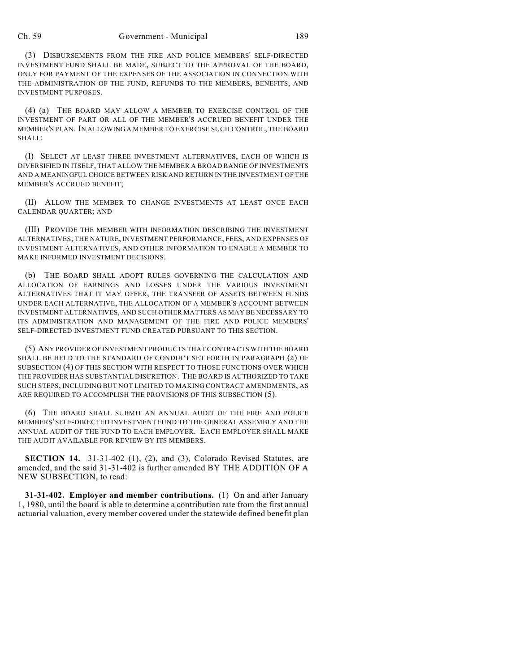### Ch. 59 Government - Municipal 189

(3) DISBURSEMENTS FROM THE FIRE AND POLICE MEMBERS' SELF-DIRECTED INVESTMENT FUND SHALL BE MADE, SUBJECT TO THE APPROVAL OF THE BOARD, ONLY FOR PAYMENT OF THE EXPENSES OF THE ASSOCIATION IN CONNECTION WITH THE ADMINISTRATION OF THE FUND, REFUNDS TO THE MEMBERS, BENEFITS, AND INVESTMENT PURPOSES.

(4) (a) THE BOARD MAY ALLOW A MEMBER TO EXERCISE CONTROL OF THE INVESTMENT OF PART OR ALL OF THE MEMBER'S ACCRUED BENEFIT UNDER THE MEMBER'S PLAN. IN ALLOWING A MEMBER TO EXERCISE SUCH CONTROL, THE BOARD SHALL:

(I) SELECT AT LEAST THREE INVESTMENT ALTERNATIVES, EACH OF WHICH IS DIVERSIFIED IN ITSELF, THAT ALLOW THE MEMBER A BROAD RANGE OF INVESTMENTS AND A MEANINGFUL CHOICE BETWEEN RISK AND RETURN IN THE INVESTMENT OF THE MEMBER'S ACCRUED BENEFIT;

(II) ALLOW THE MEMBER TO CHANGE INVESTMENTS AT LEAST ONCE EACH CALENDAR QUARTER; AND

(III) PROVIDE THE MEMBER WITH INFORMATION DESCRIBING THE INVESTMENT ALTERNATIVES, THE NATURE, INVESTMENT PERFORMANCE, FEES, AND EXPENSES OF INVESTMENT ALTERNATIVES, AND OTHER INFORMATION TO ENABLE A MEMBER TO MAKE INFORMED INVESTMENT DECISIONS.

(b) THE BOARD SHALL ADOPT RULES GOVERNING THE CALCULATION AND ALLOCATION OF EARNINGS AND LOSSES UNDER THE VARIOUS INVESTMENT ALTERNATIVES THAT IT MAY OFFER, THE TRANSFER OF ASSETS BETWEEN FUNDS UNDER EACH ALTERNATIVE, THE ALLOCATION OF A MEMBER'S ACCOUNT BETWEEN INVESTMENT ALTERNATIVES, AND SUCH OTHER MATTERS AS MAY BE NECESSARY TO ITS ADMINISTRATION AND MANAGEMENT OF THE FIRE AND POLICE MEMBERS' SELF-DIRECTED INVESTMENT FUND CREATED PURSUANT TO THIS SECTION.

(5) ANY PROVIDER OF INVESTMENT PRODUCTS THAT CONTRACTS WITH THE BOARD SHALL BE HELD TO THE STANDARD OF CONDUCT SET FORTH IN PARAGRAPH (a) OF SUBSECTION (4) OF THIS SECTION WITH RESPECT TO THOSE FUNCTIONS OVER WHICH THE PROVIDER HAS SUBSTANTIAL DISCRETION. THE BOARD IS AUTHORIZED TO TAKE SUCH STEPS, INCLUDING BUT NOT LIMITED TO MAKING CONTRACT AMENDMENTS, AS ARE REQUIRED TO ACCOMPLISH THE PROVISIONS OF THIS SUBSECTION (5).

(6) THE BOARD SHALL SUBMIT AN ANNUAL AUDIT OF THE FIRE AND POLICE MEMBERS' SELF-DIRECTED INVESTMENT FUND TO THE GENERAL ASSEMBLY AND THE ANNUAL AUDIT OF THE FUND TO EACH EMPLOYER. EACH EMPLOYER SHALL MAKE THE AUDIT AVAILABLE FOR REVIEW BY ITS MEMBERS.

**SECTION 14.** 31-31-402 (1), (2), and (3), Colorado Revised Statutes, are amended, and the said 31-31-402 is further amended BY THE ADDITION OF A NEW SUBSECTION, to read:

**31-31-402. Employer and member contributions.** (1) On and after January 1, 1980, until the board is able to determine a contribution rate from the first annual actuarial valuation, every member covered under the statewide defined benefit plan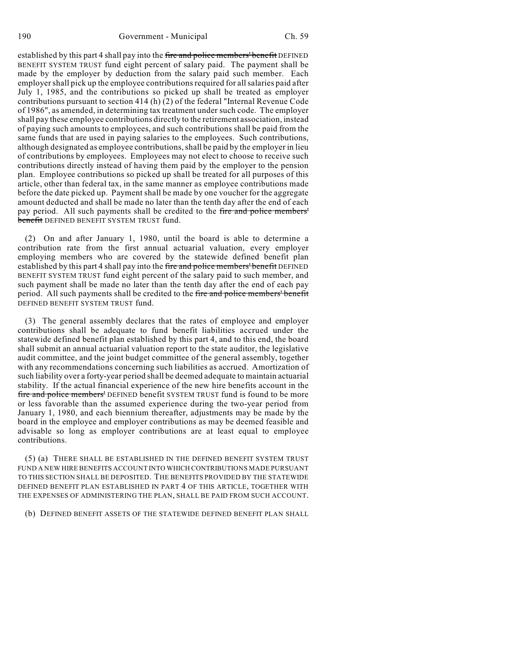established by this part 4 shall pay into the fire and police members' benefit DEFINED BENEFIT SYSTEM TRUST fund eight percent of salary paid. The payment shall be made by the employer by deduction from the salary paid such member. Each employer shall pick up the employee contributions required for all salaries paid after July 1, 1985, and the contributions so picked up shall be treated as employer contributions pursuant to section 414 (h) (2) of the federal "Internal Revenue Code of 1986", as amended, in determining tax treatment under such code. The employer shall pay these employee contributions directly to the retirement association, instead of paying such amounts to employees, and such contributions shall be paid from the same funds that are used in paying salaries to the employees. Such contributions, although designated as employee contributions,shall be paid by the employer in lieu of contributions by employees. Employees may not elect to choose to receive such contributions directly instead of having them paid by the employer to the pension plan. Employee contributions so picked up shall be treated for all purposes of this article, other than federal tax, in the same manner as employee contributions made before the date picked up. Payment shall be made by one voucher for the aggregate amount deducted and shall be made no later than the tenth day after the end of each pay period. All such payments shall be credited to the fire and police members' benefit DEFINED BENEFIT SYSTEM TRUST fund.

(2) On and after January 1, 1980, until the board is able to determine a contribution rate from the first annual actuarial valuation, every employer employing members who are covered by the statewide defined benefit plan established by this part 4 shall pay into the fire and police members' benefit DEFINED BENEFIT SYSTEM TRUST fund eight percent of the salary paid to such member, and such payment shall be made no later than the tenth day after the end of each pay period. All such payments shall be credited to the fire and police members' benefit DEFINED BENEFIT SYSTEM TRUST fund.

(3) The general assembly declares that the rates of employee and employer contributions shall be adequate to fund benefit liabilities accrued under the statewide defined benefit plan established by this part 4, and to this end, the board shall submit an annual actuarial valuation report to the state auditor, the legislative audit committee, and the joint budget committee of the general assembly, together with any recommendations concerning such liabilities as accrued. Amortization of such liability over a forty-year period shall be deemed adequate to maintain actuarial stability. If the actual financial experience of the new hire benefits account in the fire and police members' DEFINED benefit SYSTEM TRUST fund is found to be more or less favorable than the assumed experience during the two-year period from January 1, 1980, and each biennium thereafter, adjustments may be made by the board in the employee and employer contributions as may be deemed feasible and advisable so long as employer contributions are at least equal to employee contributions.

(5) (a) THERE SHALL BE ESTABLISHED IN THE DEFINED BENEFIT SYSTEM TRUST FUND A NEW HIRE BENEFITS ACCOUNT INTO WHICH CONTRIBUTIONS MADE PURSUANT TO THIS SECTION SHALL BE DEPOSITED. THE BENEFITS PROVIDED BY THE STATEWIDE DEFINED BENEFIT PLAN ESTABLISHED IN PART 4 OF THIS ARTICLE, TOGETHER WITH THE EXPENSES OF ADMINISTERING THE PLAN, SHALL BE PAID FROM SUCH ACCOUNT.

(b) DEFINED BENEFIT ASSETS OF THE STATEWIDE DEFINED BENEFIT PLAN SHALL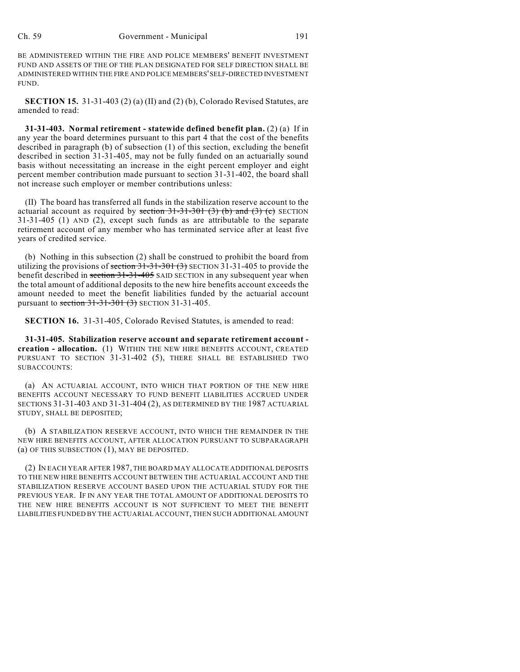BE ADMINISTERED WITHIN THE FIRE AND POLICE MEMBERS' BENEFIT INVESTMENT FUND AND ASSETS OF THE OF THE PLAN DESIGNATED FOR SELF DIRECTION SHALL BE ADMINISTERED WITHIN THE FIRE AND POLICE MEMBERS' SELF-DIRECTED INVESTMENT FUND.

**SECTION 15.** 31-31-403 (2) (a) (II) and (2) (b), Colorado Revised Statutes, are amended to read:

**31-31-403. Normal retirement - statewide defined benefit plan.** (2) (a) If in any year the board determines pursuant to this part 4 that the cost of the benefits described in paragraph (b) of subsection (1) of this section, excluding the benefit described in section 31-31-405, may not be fully funded on an actuarially sound basis without necessitating an increase in the eight percent employer and eight percent member contribution made pursuant to section 31-31-402, the board shall not increase such employer or member contributions unless:

(II) The board has transferred all funds in the stabilization reserve account to the actuarial account as required by section  $31-31-301$  (3) (b) and (3) (c) SECTION 31-31-405 (1) AND (2), except such funds as are attributable to the separate retirement account of any member who has terminated service after at least five years of credited service.

(b) Nothing in this subsection (2) shall be construed to prohibit the board from utilizing the provisions of section  $31-31-30+ (3)$  SECTION 31-31-405 to provide the benefit described in section 31-31-405 SAID SECTION in any subsequent year when the total amount of additional deposits to the new hire benefits account exceeds the amount needed to meet the benefit liabilities funded by the actuarial account pursuant to section 31-31-301 (3) SECTION 31-31-405.

**SECTION 16.** 31-31-405, Colorado Revised Statutes, is amended to read:

**31-31-405. Stabilization reserve account and separate retirement account creation - allocation.** (1) WITHIN THE NEW HIRE BENEFITS ACCOUNT, CREATED PURSUANT TO SECTION 31-31-402 (5), THERE SHALL BE ESTABLISHED TWO SUBACCOUNTS:

(a) AN ACTUARIAL ACCOUNT, INTO WHICH THAT PORTION OF THE NEW HIRE BENEFITS ACCOUNT NECESSARY TO FUND BENEFIT LIABILITIES ACCRUED UNDER SECTIONS 31-31-403 AND 31-31-404 (2), AS DETERMINED BY THE 1987 ACTUARIAL STUDY, SHALL BE DEPOSITED;

(b) A STABILIZATION RESERVE ACCOUNT, INTO WHICH THE REMAINDER IN THE NEW HIRE BENEFITS ACCOUNT, AFTER ALLOCATION PURSUANT TO SUBPARAGRAPH (a) OF THIS SUBSECTION (1), MAY BE DEPOSITED.

(2) IN EACH YEAR AFTER 1987, THE BOARD MAY ALLOCATE ADDITIONAL DEPOSITS TO THE NEW HIRE BENEFITS ACCOUNT BETWEEN THE ACTUARIAL ACCOUNT AND THE STABILIZATION RESERVE ACCOUNT BASED UPON THE ACTUARIAL STUDY FOR THE PREVIOUS YEAR. IF IN ANY YEAR THE TOTAL AMOUNT OF ADDITIONAL DEPOSITS TO THE NEW HIRE BENEFITS ACCOUNT IS NOT SUFFICIENT TO MEET THE BENEFIT LIABILITIES FUNDED BY THE ACTUARIAL ACCOUNT, THEN SUCH ADDITIONAL AMOUNT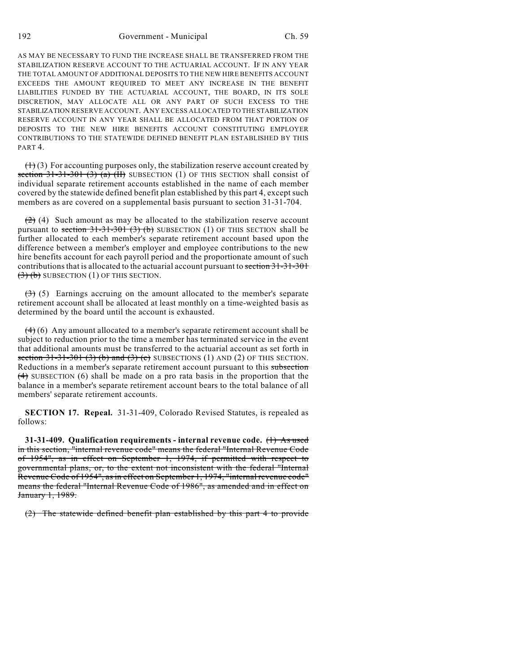192 Government - Municipal Ch. 59

AS MAY BE NECESSARY TO FUND THE INCREASE SHALL BE TRANSFERRED FROM THE STABILIZATION RESERVE ACCOUNT TO THE ACTUARIAL ACCOUNT. IF IN ANY YEAR THE TOTAL AMOUNT OF ADDITIONAL DEPOSITS TO THE NEW HIRE BENEFITS ACCOUNT EXCEEDS THE AMOUNT REQUIRED TO MEET ANY INCREASE IN THE BENEFIT LIABILITIES FUNDED BY THE ACTUARIAL ACCOUNT, THE BOARD, IN ITS SOLE DISCRETION, MAY ALLOCATE ALL OR ANY PART OF SUCH EXCESS TO THE STABILIZATION RESERVE ACCOUNT. ANY EXCESS ALLOCATED TO THE STABILIZATION RESERVE ACCOUNT IN ANY YEAR SHALL BE ALLOCATED FROM THAT PORTION OF DEPOSITS TO THE NEW HIRE BENEFITS ACCOUNT CONSTITUTING EMPLOYER CONTRIBUTIONS TO THE STATEWIDE DEFINED BENEFIT PLAN ESTABLISHED BY THIS PART 4.

 $(1)$  (3) For accounting purposes only, the stabilization reserve account created by section  $31-31-301$  (3) (a) (II) SUBSECTION (1) OF THIS SECTION shall consist of individual separate retirement accounts established in the name of each member covered by the statewide defined benefit plan established by this part 4, except such members as are covered on a supplemental basis pursuant to section 31-31-704.

 $(2)$  (4) Such amount as may be allocated to the stabilization reserve account pursuant to section  $31-31-301$  (3) (b) SUBSECTION (1) OF THIS SECTION shall be further allocated to each member's separate retirement account based upon the difference between a member's employer and employee contributions to the new hire benefits account for each payroll period and the proportionate amount of such contributions that is allocated to the actuarial account pursuant to section 31-31-301  $(3)$  (b) SUBSECTION (1) OF THIS SECTION.

 $(3)$  (5) Earnings accruing on the amount allocated to the member's separate retirement account shall be allocated at least monthly on a time-weighted basis as determined by the board until the account is exhausted.

 $(4)$  (6) Any amount allocated to a member's separate retirement account shall be subject to reduction prior to the time a member has terminated service in the event that additional amounts must be transferred to the actuarial account as set forth in section  $31-31-301$  (3) (b) and (3) (c) SUBSECTIONS (1) AND (2) OF THIS SECTION. Reductions in a member's separate retirement account pursuant to this subsection (4) SUBSECTION (6) shall be made on a pro rata basis in the proportion that the balance in a member's separate retirement account bears to the total balance of all members' separate retirement accounts.

**SECTION 17. Repeal.** 31-31-409, Colorado Revised Statutes, is repealed as follows:

**31-31-409. Qualification requirements - internal revenue code.** (1) As used in this section, "internal revenue code" means the federal "Internal Revenue Code of 1954", as in effect on September 1, 1974, if permitted with respect to governmental plans, or, to the extent not inconsistent with the federal "Internal Revenue Code of 1954", as in effect on September 1, 1974, "internal revenue code" means the federal "Internal Revenue Code of 1986", as amended and in effect on January 1, 1989.

(2) The statewide defined benefit plan established by this part 4 to provide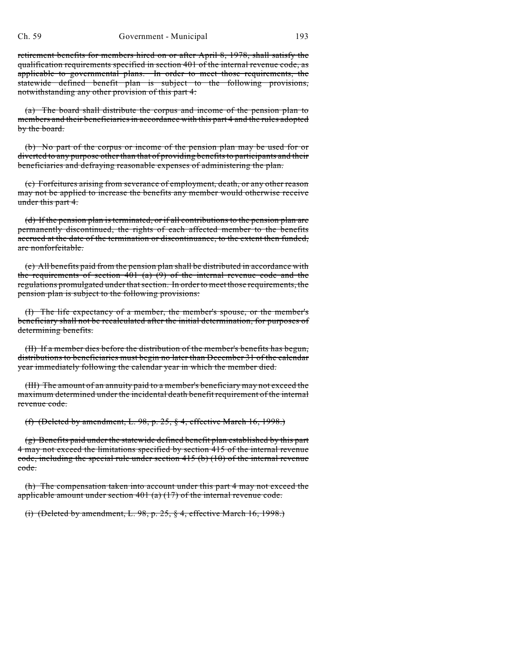retirement benefits for members hired on or after April 8, 1978, shall satisfy the qualification requirements specified in section 401 of the internal revenue code, as applicable to governmental plans. In order to meet those requirements, the statewide defined benefit plan is subject to the following provisions, notwithstanding any other provision of this part 4:

(a) The board shall distribute the corpus and income of the pension plan to members and their beneficiaries in accordance with this part 4 and the rules adopted by the board.

(b) No part of the corpus or income of the pension plan may be used for or diverted to any purpose other than that of providing benefits to participants and their beneficiaries and defraying reasonable expenses of administering the plan.

(c) Forfeitures arising from severance of employment, death, or any other reason may not be applied to increase the benefits any member would otherwise receive under this part 4.

(d) If the pension plan is terminated, or if all contributions to the pension plan are permanently discontinued, the rights of each affected member to the benefits accrued at the date of the termination or discontinuance, to the extent then funded, are nonforfeitable.

(e) All benefits paid from the pension plan shall be distributed in accordance with the requirements of section  $401$  (a) (9) of the internal revenue code and the regulations promulgated under that section. In order to meet those requirements, the pension plan is subject to the following provisions:

(I) The life expectancy of a member, the member's spouse, or the member's beneficiary shall not be recalculated after the initial determination, for purposes of determining benefits.

(II) If a member dies before the distribution of the member's benefits has begun, distributions to beneficiaries must begin no later than December 31 of the calendar year immediately following the calendar year in which the member died.

(III) The amount of an annuity paid to a member's beneficiary may not exceed the maximum determined under the incidental death benefit requirement of the internal revenue code.

(f) (Deleted by amendment, L. 98, p. 25, § 4, effective March 16, 1998.)

(g) Benefits paid under the statewide defined benefit plan established by this part 4 may not exceed the limitations specified by section 415 of the internal revenue code, including the special rule under section  $415$  (b) (10) of the internal revenue code.

(h) The compensation taken into account under this part 4 may not exceed the applicable amount under section  $401$  (a) (17) of the internal revenue code.

(i) (Deleted by amendment, L. 98, p. 25, § 4, effective March 16, 1998.)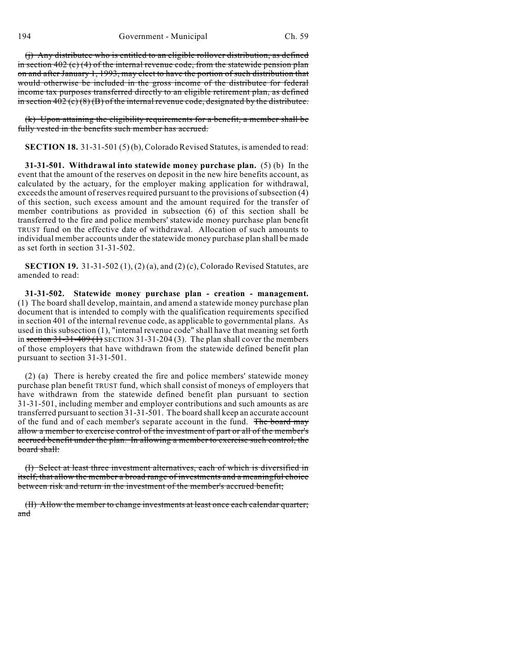(j) Any distributee who is entitled to an eligible rollover distribution, as defined in section  $402$  (c) (4) of the internal revenue code, from the statewide pension plan on and after January 1, 1993, may elect to have the portion of such distribution that would otherwise be included in the gross income of the distributee for federal income tax purposes transferred directly to an eligible retirement plan, as defined in section  $402$  (c) (8) (B) of the internal revenue code, designated by the distributee.

(k) Upon attaining the eligibility requirements for a benefit, a member shall be fully vested in the benefits such member has accrued.

**SECTION 18.** 31-31-501 (5) (b), Colorado Revised Statutes, is amended to read:

**31-31-501. Withdrawal into statewide money purchase plan.** (5) (b) In the event that the amount of the reserves on deposit in the new hire benefits account, as calculated by the actuary, for the employer making application for withdrawal, exceeds the amount of reserves required pursuant to the provisions of subsection (4) of this section, such excess amount and the amount required for the transfer of member contributions as provided in subsection (6) of this section shall be transferred to the fire and police members' statewide money purchase plan benefit TRUST fund on the effective date of withdrawal. Allocation of such amounts to individual member accounts under the statewide money purchase plan shall be made as set forth in section 31-31-502.

**SECTION 19.** 31-31-502 (1), (2) (a), and (2) (c), Colorado Revised Statutes, are amended to read:

**31-31-502. Statewide money purchase plan - creation - management.** (1) The board shall develop, maintain, and amend a statewide money purchase plan document that is intended to comply with the qualification requirements specified in section 401 of the internal revenue code, as applicable to governmental plans. As used in this subsection (1), "internal revenue code" shall have that meaning set forth in section  $31-31-409$  (1) SECTION 31-31-204 (3). The plan shall cover the members of those employers that have withdrawn from the statewide defined benefit plan pursuant to section 31-31-501.

(2) (a) There is hereby created the fire and police members' statewide money purchase plan benefit TRUST fund, which shall consist of moneys of employers that have withdrawn from the statewide defined benefit plan pursuant to section 31-31-501, including member and employer contributions and such amounts as are transferred pursuant to section 31-31-501. The board shall keep an accurate account of the fund and of each member's separate account in the fund. The board may allow a member to exercise control of the investment of part or all of the member's accrued benefit under the plan. In allowing a member to exercise such control, the board shall:

(I) Select at least three investment alternatives, each of which is diversified in itself, that allow the member a broad range of investments and a meaningful choice between risk and return in the investment of the member's accrued benefit;

(II) Allow the member to change investments at least once each calendar quarter; and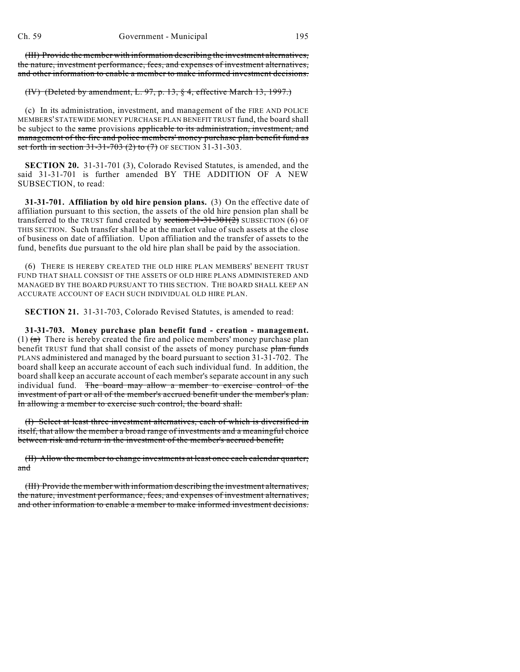(III) Provide the member with information describing the investment alternatives, the nature, investment performance, fees, and expenses of investment alternatives, and other information to enable a member to make informed investment decisions.

## (IV) (Deleted by amendment, L. 97, p. 13, § 4, effective March 13, 1997.)

(c) In its administration, investment, and management of the FIRE AND POLICE MEMBERS' STATEWIDE MONEY PURCHASE PLAN BENEFIT TRUST fund, the board shall be subject to the same provisions applicable to its administration, investment, and management of the fire and police members' money purchase plan benefit fund as set forth in section  $31-31-703$  (2) to (7) OF SECTION 31-31-303.

**SECTION 20.** 31-31-701 (3), Colorado Revised Statutes, is amended, and the said 31-31-701 is further amended BY THE ADDITION OF A NEW SUBSECTION, to read:

**31-31-701. Affiliation by old hire pension plans.** (3) On the effective date of affiliation pursuant to this section, the assets of the old hire pension plan shall be transferred to the TRUST fund created by section  $31-31-301(2)$  SUBSECTION (6) OF THIS SECTION. Such transfer shall be at the market value of such assets at the close of business on date of affiliation. Upon affiliation and the transfer of assets to the fund, benefits due pursuant to the old hire plan shall be paid by the association.

(6) THERE IS HEREBY CREATED THE OLD HIRE PLAN MEMBERS' BENEFIT TRUST FUND THAT SHALL CONSIST OF THE ASSETS OF OLD HIRE PLANS ADMINISTERED AND MANAGED BY THE BOARD PURSUANT TO THIS SECTION. THE BOARD SHALL KEEP AN ACCURATE ACCOUNT OF EACH SUCH INDIVIDUAL OLD HIRE PLAN.

**SECTION 21.** 31-31-703, Colorado Revised Statutes, is amended to read:

**31-31-703. Money purchase plan benefit fund - creation - management.** (1)  $\left(\frac{a}{b}\right)$  There is hereby created the fire and police members' money purchase plan benefit TRUST fund that shall consist of the assets of money purchase plan funds PLANS administered and managed by the board pursuant to section 31-31-702. The board shall keep an accurate account of each such individual fund. In addition, the board shall keep an accurate account of each member's separate account in any such individual fund. The board may allow a member to exercise control of the investment of part or all of the member's accrued benefit under the member's plan. In allowing a member to exercise such control, the board shall:

(I) Select at least three investment alternatives, each of which is diversified in itself, that allow the member a broad range of investments and a meaningful choice between risk and return in the investment of the member's accrued benefit;

(II) Allow the member to change investments at least once each calendar quarter; and

(III) Provide the member with information describing the investment alternatives, the nature, investment performance, fees, and expenses of investment alternatives, and other information to enable a member to make informed investment decisions.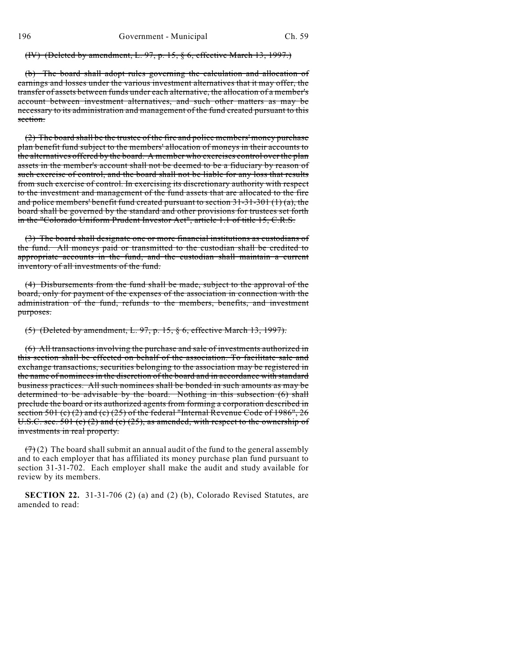(IV) (Deleted by amendment, L. 97, p. 15, § 6, effective March 13, 1997.)

The board shall adopt rules governing the calculation and allocation of earnings and losses under the various investment alternatives that it may offer, the transfer of assets between funds under each alternative, the allocation of a member's account between investment alternatives, and such other matters as may be necessary to its administration and management of the fund created pursuant to this section.

 $(2)$  The board shall be the trustee of the fire and police members' money purchase plan benefit fund subject to the members' allocation of moneys in their accounts to the alternatives offered by the board. A member who exercises control over the plan assets in the member's account shall not be deemed to be a fiduciary by reason of such exercise of control, and the board shall not be liable for any loss that results from such exercise of control. In exercising its discretionary authority with respect to the investment and management of the fund assets that are allocated to the fire and police members' benefit fund created pursuant to section  $31-31-301$  (1) (a), the board shall be governed by the standard and other provisions for trustees set forth in the "Colorado Uniform Prudent Investor Act", article 1.1 of title 15, C.R.S.

(3) The board shall designate one or more financial institutions as custodians of the fund. All moneys paid or transmitted to the custodian shall be credited to appropriate accounts in the fund, and the custodian shall maintain a current inventory of all investments of the fund.

(4) Disbursements from the fund shall be made, subject to the approval of the board, only for payment of the expenses of the association in connection with the administration of the fund, refunds to the members, benefits, and investment purposes.

(5) (Deleted by amendment, L. 97, p. 15, § 6, effective March 13, 1997).

(6) All transactions involving the purchase and sale of investments authorized in this section shall be effected on behalf of the association. To facilitate sale and exchange transactions, securities belonging to the association may be registered in the name of nominees in the discretion of the board and in accordance with standard business practices. All such nominees shall be bonded in such amounts as may be determined to be advisable by the board. Nothing in this subsection (6) shall preclude the board or its authorized agents from forming a corporation described in section 501 (c) (2) and (c) (25) of the federal "Internal Revenue Code of 1986", 26 U.S.C. sec. 501 (c) (2) and (c) (25), as amended, with respect to the ownership of investments in real property.

 $(7)$  (2) The board shall submit an annual audit of the fund to the general assembly and to each employer that has affiliated its money purchase plan fund pursuant to section 31-31-702. Each employer shall make the audit and study available for review by its members.

**SECTION 22.** 31-31-706 (2) (a) and (2) (b), Colorado Revised Statutes, are amended to read: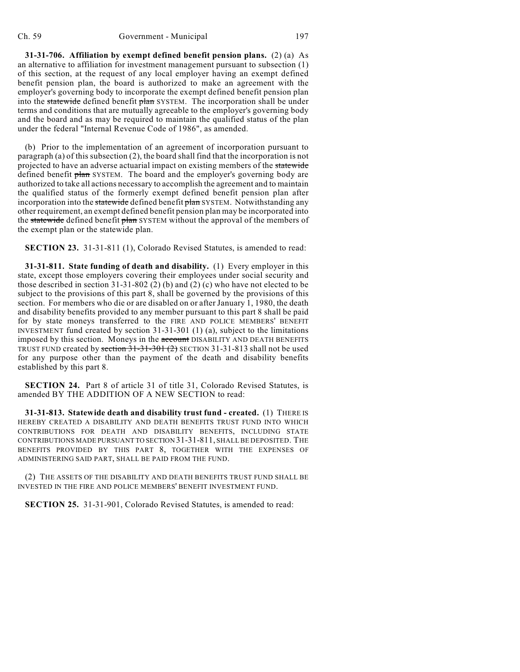**31-31-706. Affiliation by exempt defined benefit pension plans.** (2) (a) As an alternative to affiliation for investment management pursuant to subsection (1) of this section, at the request of any local employer having an exempt defined benefit pension plan, the board is authorized to make an agreement with the employer's governing body to incorporate the exempt defined benefit pension plan into the statewide defined benefit plan SYSTEM. The incorporation shall be under terms and conditions that are mutually agreeable to the employer's governing body and the board and as may be required to maintain the qualified status of the plan under the federal "Internal Revenue Code of 1986", as amended.

(b) Prior to the implementation of an agreement of incorporation pursuant to paragraph (a) of this subsection (2), the board shall find that the incorporation is not projected to have an adverse actuarial impact on existing members of the statewide defined benefit plan SYSTEM. The board and the employer's governing body are authorized to take all actions necessary to accomplish the agreement and to maintain the qualified status of the formerly exempt defined benefit pension plan after incorporation into the statewide defined benefit plan SYSTEM. Notwithstanding any other requirement, an exempt defined benefit pension plan may be incorporated into the statewide defined benefit plan SYSTEM without the approval of the members of the exempt plan or the statewide plan.

**SECTION 23.** 31-31-811 (1), Colorado Revised Statutes, is amended to read:

**31-31-811. State funding of death and disability.** (1) Every employer in this state, except those employers covering their employees under social security and those described in section  $31-31-802$  (2) (b) and (2) (c) who have not elected to be subject to the provisions of this part 8, shall be governed by the provisions of this section. For members who die or are disabled on or after January 1, 1980, the death and disability benefits provided to any member pursuant to this part 8 shall be paid for by state moneys transferred to the FIRE AND POLICE MEMBERS' BENEFIT INVESTMENT fund created by section 31-31-301 (1) (a), subject to the limitations imposed by this section. Moneys in the account DISABILITY AND DEATH BENEFITS TRUST FUND created by section  $31-31-301$  (2) SECTION 31-31-813 shall not be used for any purpose other than the payment of the death and disability benefits established by this part 8.

**SECTION 24.** Part 8 of article 31 of title 31, Colorado Revised Statutes, is amended BY THE ADDITION OF A NEW SECTION to read:

**31-31-813. Statewide death and disability trust fund - created.** (1) THERE IS HEREBY CREATED A DISABILITY AND DEATH BENEFITS TRUST FUND INTO WHICH CONTRIBUTIONS FOR DEATH AND DISABILITY BENEFITS, INCLUDING STATE CONTRIBUTIONS MADE PURSUANT TO SECTION 31-31-811, SHALL BE DEPOSITED. THE BENEFITS PROVIDED BY THIS PART 8, TOGETHER WITH THE EXPENSES OF ADMINISTERING SAID PART, SHALL BE PAID FROM THE FUND.

(2) THE ASSETS OF THE DISABILITY AND DEATH BENEFITS TRUST FUND SHALL BE INVESTED IN THE FIRE AND POLICE MEMBERS' BENEFIT INVESTMENT FUND.

**SECTION 25.** 31-31-901, Colorado Revised Statutes, is amended to read: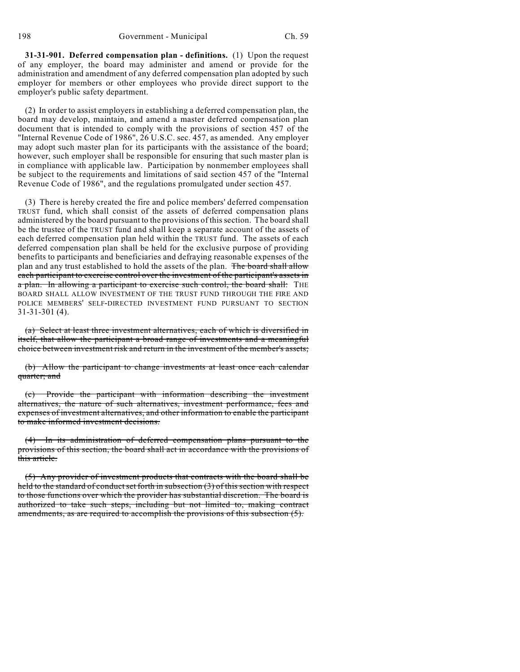**31-31-901. Deferred compensation plan - definitions.** (1) Upon the request of any employer, the board may administer and amend or provide for the administration and amendment of any deferred compensation plan adopted by such employer for members or other employees who provide direct support to the employer's public safety department.

(2) In order to assist employers in establishing a deferred compensation plan, the board may develop, maintain, and amend a master deferred compensation plan document that is intended to comply with the provisions of section 457 of the "Internal Revenue Code of 1986", 26 U.S.C. sec. 457, as amended. Any employer may adopt such master plan for its participants with the assistance of the board; however, such employer shall be responsible for ensuring that such master plan is in compliance with applicable law. Participation by nonmember employees shall be subject to the requirements and limitations of said section 457 of the "Internal Revenue Code of 1986", and the regulations promulgated under section 457.

(3) There is hereby created the fire and police members' deferred compensation TRUST fund, which shall consist of the assets of deferred compensation plans administered by the board pursuant to the provisions of this section. The board shall be the trustee of the TRUST fund and shall keep a separate account of the assets of each deferred compensation plan held within the TRUST fund. The assets of each deferred compensation plan shall be held for the exclusive purpose of providing benefits to participants and beneficiaries and defraying reasonable expenses of the plan and any trust established to hold the assets of the plan. The board shall allow each participant to exercise control over the investment of the participant's assets in a plan. In allowing a participant to exercise such control, the board shall: THE BOARD SHALL ALLOW INVESTMENT OF THE TRUST FUND THROUGH THE FIRE AND POLICE MEMBERS' SELF-DIRECTED INVESTMENT FUND PURSUANT TO SECTION 31-31-301 (4).

(a) Select at least three investment alternatives, each of which is diversified in itself, that allow the participant a broad range of investments and a meaningful choice between investment risk and return in the investment of the member's assets;

(b) Allow the participant to change investments at least once each calendar quarter; and

(c) Provide the participant with information describing the investment alternatives, the nature of such alternatives, investment performance, fees and expenses of investment alternatives, and other information to enable the participant to make informed investment decisions.

(4) In its administration of deferred compensation plans pursuant to the provisions of this section, the board shall act in accordance with the provisions of this article.

(5) Any provider of investment products that contracts with the board shall be held to the standard of conduct set forth in subsection (3) of this section with respect to those functions over which the provider has substantial discretion. The board is authorized to take such steps, including but not limited to, making contract amendments, as are required to accomplish the provisions of this subsection (5).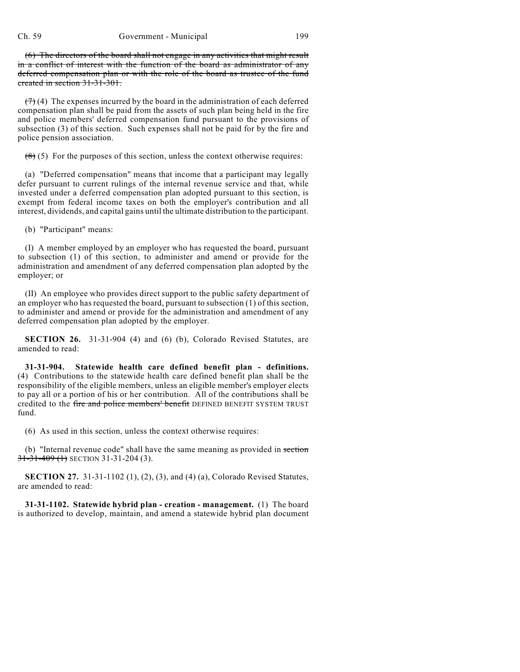(6) The directors of the board shall not engage in any activities that might result in a conflict of interest with the function of the board as administrator of any deferred compensation plan or with the role of the board as trustee of the fund created in section 31-31-301.

 $(7)$  (4) The expenses incurred by the board in the administration of each deferred compensation plan shall be paid from the assets of such plan being held in the fire and police members' deferred compensation fund pursuant to the provisions of subsection (3) of this section. Such expenses shall not be paid for by the fire and police pension association.

 $(8)$  (5) For the purposes of this section, unless the context otherwise requires:

(a) "Deferred compensation" means that income that a participant may legally defer pursuant to current rulings of the internal revenue service and that, while invested under a deferred compensation plan adopted pursuant to this section, is exempt from federal income taxes on both the employer's contribution and all interest, dividends, and capital gains until the ultimate distribution to the participant.

(b) "Participant" means:

(I) A member employed by an employer who has requested the board, pursuant to subsection (1) of this section, to administer and amend or provide for the administration and amendment of any deferred compensation plan adopted by the employer; or

(II) An employee who provides direct support to the public safety department of an employer who has requested the board, pursuant to subsection (1) of this section, to administer and amend or provide for the administration and amendment of any deferred compensation plan adopted by the employer.

**SECTION 26.** 31-31-904 (4) and (6) (b), Colorado Revised Statutes, are amended to read:

**31-31-904. Statewide health care defined benefit plan - definitions.** (4) Contributions to the statewide health care defined benefit plan shall be the responsibility of the eligible members, unless an eligible member's employer elects to pay all or a portion of his or her contribution. All of the contributions shall be credited to the fire and police members' benefit DEFINED BENEFIT SYSTEM TRUST fund.

(6) As used in this section, unless the context otherwise requires:

(b) "Internal revenue code" shall have the same meaning as provided in section  $31-31-409$  (1) SECTION 31-31-204 (3).

**SECTION 27.** 31-31-1102 (1), (2), (3), and (4) (a), Colorado Revised Statutes, are amended to read:

**31-31-1102. Statewide hybrid plan - creation - management.** (1) The board is authorized to develop, maintain, and amend a statewide hybrid plan document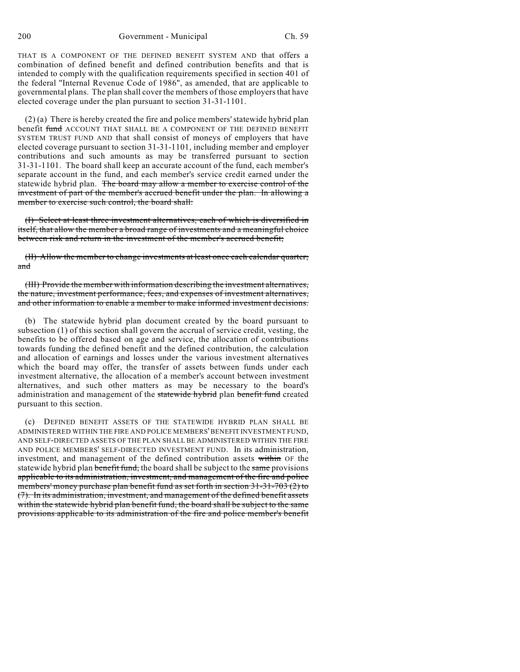THAT IS A COMPONENT OF THE DEFINED BENEFIT SYSTEM AND that offers a combination of defined benefit and defined contribution benefits and that is intended to comply with the qualification requirements specified in section 401 of the federal "Internal Revenue Code of 1986", as amended, that are applicable to governmental plans. The plan shall cover the members of those employers that have elected coverage under the plan pursuant to section 31-31-1101.

(2) (a) There is hereby created the fire and police members' statewide hybrid plan benefit fund ACCOUNT THAT SHALL BE A COMPONENT OF THE DEFINED BENEFIT SYSTEM TRUST FUND AND that shall consist of moneys of employers that have elected coverage pursuant to section 31-31-1101, including member and employer contributions and such amounts as may be transferred pursuant to section 31-31-1101. The board shall keep an accurate account of the fund, each member's separate account in the fund, and each member's service credit earned under the statewide hybrid plan. The board may allow a member to exercise control of the investment of part of the member's accrued benefit under the plan. In allowing a member to exercise such control, the board shall:

(I) Select at least three investment alternatives, each of which is diversified in itself, that allow the member a broad range of investments and a meaningful choice between risk and return in the investment of the member's accrued benefit;

(II) Allow the member to change investments at least once each calendar quarter; and

(III) Provide the member with information describing the investment alternatives, the nature, investment performance, fees, and expenses of investment alternatives, and other information to enable a member to make informed investment decisions.

(b) The statewide hybrid plan document created by the board pursuant to subsection (1) of this section shall govern the accrual of service credit, vesting, the benefits to be offered based on age and service, the allocation of contributions towards funding the defined benefit and the defined contribution, the calculation and allocation of earnings and losses under the various investment alternatives which the board may offer, the transfer of assets between funds under each investment alternative, the allocation of a member's account between investment alternatives, and such other matters as may be necessary to the board's administration and management of the statewide hybrid plan benefit fund created pursuant to this section.

(c) DEFINED BENEFIT ASSETS OF THE STATEWIDE HYBRID PLAN SHALL BE ADMINISTERED WITHIN THE FIRE AND POLICE MEMBERS' BENEFIT INVESTMENT FUND, AND SELF-DIRECTED ASSETS OF THE PLAN SHALL BE ADMINISTERED WITHIN THE FIRE AND POLICE MEMBERS' SELF-DIRECTED INVESTMENT FUND. In its administration, investment, and management of the defined contribution assets within OF the statewide hybrid plan benefit fund, the board shall be subject to the same provisions applicable to its administration, investment, and management of the fire and police members' money purchase plan benefit fund as set forth in section 31-31-703 (2) to (7). In its administration, investment, and management of the defined benefit assets within the statewide hybrid plan benefit fund, the board shall be subject to the same provisions applicable to its administration of the fire and police member's benefit